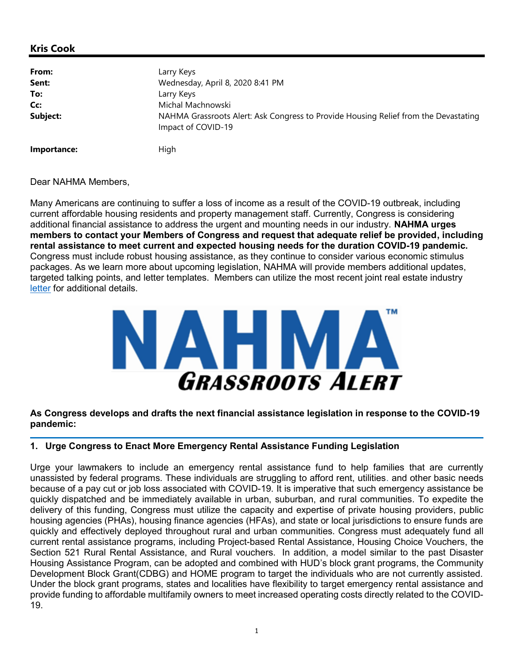Dear NAHMA Members,

Many Americans are continuing to suffer a loss of income as a result of the COVID-19 outbreak, including current affordable housing residents and property management staff. Currently, Congress is considering additional financial assistance to address the urgent and mounting needs in our industry. **NAHMA urges** members to contact your Members of Congress and request that adequate relief be provided, including rental assistance to meet current and expected housing needs for the duration COVID-19 pandemic. Congress must include robust housing assistance, as they continue to consider various economic stimulus packages. As we learn more about upcoming legislation, NAHMA will provide members additional updates, targeted talking points, and letter templates. Members can utilize the most recent joint real estate industry letter for additional details.



As Congress develops and drafts the next financial assistance legislation in response to the COVID-19 pandemic:

#### 1. Urge Congress to Enact More Emergency Rental Assistance Funding Legislation

Urge your lawmakers to include an emergency rental assistance fund to help families that are currently unassisted by federal programs. These individuals are struggling to afford rent, utilities. and other basic needs because of a pay cut or job loss associated with COVID-19. It is imperative that such emergency assistance be quickly dispatched and be immediately available in urban, suburban, and rural communities. To expedite the delivery of this funding, Congress must utilize the capacity and expertise of private housing providers, public housing agencies (PHAs), housing finance agencies (HFAs), and state or local jurisdictions to ensure funds are quickly and effectively deployed throughout rural and urban communities. Congress must adequately fund all current rental assistance programs, including Project-based Rental Assistance, Housing Choice Vouchers, the Section 521 Rural Rental Assistance, and Rural vouchers. In addition, a model similar to the past Disaster Housing Assistance Program, can be adopted and combined with HUD's block grant programs, the Community Development Block Grant(CDBG) and HOME program to target the individuals who are not currently assisted. Under the block grant programs, states and localities have flexibility to target emergency rental assistance and provide funding to affordable multifamily owners to meet increased operating costs directly related to the COVID-19.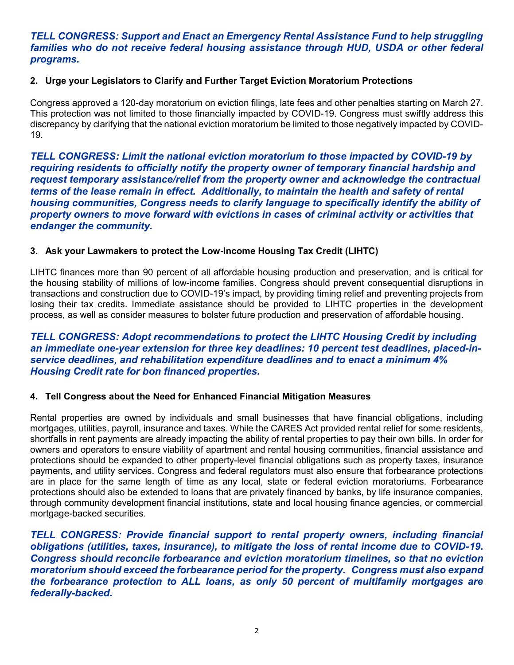# TELL CONGRESS: Support and Enact an Emergency Rental Assistance Fund to help struggling families who do not receive federal housing assistance through HUD, USDA or other federal programs.

### 2. Urge your Legislators to Clarify and Further Target Eviction Moratorium Protections

Congress approved a 120-day moratorium on eviction filings, late fees and other penalties starting on March 27. This protection was not limited to those financially impacted by COVID-19. Congress must swiftly address this discrepancy by clarifying that the national eviction moratorium be limited to those negatively impacted by COVID-19.

TELL CONGRESS: Limit the national eviction moratorium to those impacted by COVID-19 by requiring residents to officially notify the property owner of temporary financial hardship and request temporary assistance/relief from the property owner and acknowledge the contractual terms of the lease remain in effect. Additionally, to maintain the health and safety of rental housing communities, Congress needs to clarify language to specifically identify the ability of property owners to move forward with evictions in cases of criminal activity or activities that endanger the community.

### 3. Ask your Lawmakers to protect the Low-Income Housing Tax Credit (LIHTC)

LIHTC finances more than 90 percent of all affordable housing production and preservation, and is critical for the housing stability of millions of low-income families. Congress should prevent consequential disruptions in transactions and construction due to COVID-19's impact, by providing timing relief and preventing projects from losing their tax credits. Immediate assistance should be provided to LIHTC properties in the development process, as well as consider measures to bolster future production and preservation of affordable housing.

### TELL CONGRESS: Adopt recommendations to protect the LIHTC Housing Credit by including an immediate one-year extension for three key deadlines: 10 percent test deadlines, placed-inservice deadlines, and rehabilitation expenditure deadlines and to enact a minimum 4% Housing Credit rate for bon financed properties.

#### 4. Tell Congress about the Need for Enhanced Financial Mitigation Measures

Rental properties are owned by individuals and small businesses that have financial obligations, including mortgages, utilities, payroll, insurance and taxes. While the CARES Act provided rental relief for some residents, shortfalls in rent payments are already impacting the ability of rental properties to pay their own bills. In order for owners and operators to ensure viability of apartment and rental housing communities, financial assistance and protections should be expanded to other property-level financial obligations such as property taxes, insurance payments, and utility services. Congress and federal regulators must also ensure that forbearance protections are in place for the same length of time as any local, state or federal eviction moratoriums. Forbearance protections should also be extended to loans that are privately financed by banks, by life insurance companies, through community development financial institutions, state and local housing finance agencies, or commercial mortgage-backed securities.

TELL CONGRESS: Provide financial support to rental property owners, including financial obligations (utilities, taxes, insurance), to mitigate the loss of rental income due to COVID-19. Congress should reconcile forbearance and eviction moratorium timelines, so that no eviction moratorium should exceed the forbearance period for the property. Congress must also expand the forbearance protection to ALL loans, as only 50 percent of multifamily mortgages are federally-backed.